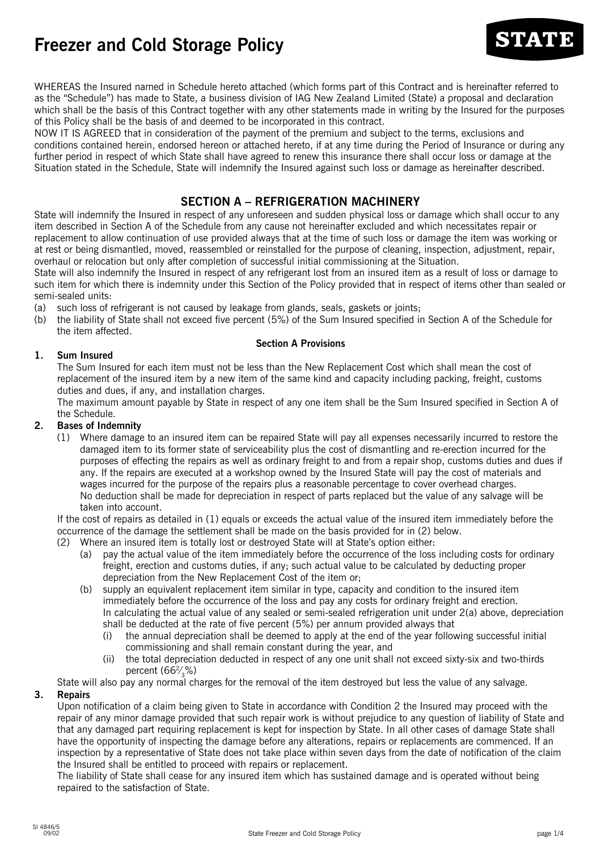# **Freezer and Cold Storage Policy**



WHEREAS the Insured named in Schedule hereto attached (which forms part of this Contract and is hereinafter referred to as the "Schedule") has made to State, a business division of IAG New Zealand Limited (State) a proposal and declaration which shall be the basis of this Contract together with any other statements made in writing by the Insured for the purposes of this Policy shall be the basis of and deemed to be incorporated in this contract.

NOW IT IS AGREED that in consideration of the payment of the premium and subject to the terms, exclusions and conditions contained herein, endorsed hereon or attached hereto, if at any time during the Period of Insurance or during any further period in respect of which State shall have agreed to renew this insurance there shall occur loss or damage at the Situation stated in the Schedule, State will indemnify the Insured against such loss or damage as hereinafter described.

# **SECTION A – REFRIGERATION MACHINERY**

State will indemnify the Insured in respect of any unforeseen and sudden physical loss or damage which shall occur to any item described in Section A of the Schedule from any cause not hereinafter excluded and which necessitates repair or replacement to allow continuation of use provided always that at the time of such loss or damage the item was working or at rest or being dismantled, moved, reassembled or reinstalled for the purpose of cleaning, inspection, adjustment, repair, overhaul or relocation but only after completion of successful initial commissioning at the Situation.

State will also indemnify the Insured in respect of any refrigerant lost from an insured item as a result of loss or damage to such item for which there is indemnity under this Section of the Policy provided that in respect of items other than sealed or semi-sealed units:

- (a) such loss of refrigerant is not caused by leakage from glands, seals, gaskets or joints;
- (b) the liability of State shall not exceed five percent (5%) of the Sum Insured specified in Section A of the Schedule for the item affected.

### **Section A Provisions**

# **1. Sum Insured**

The Sum Insured for each item must not be less than the New Replacement Cost which shall mean the cost of replacement of the insured item by a new item of the same kind and capacity including packing, freight, customs duties and dues, if any, and installation charges.

The maximum amount payable by State in respect of any one item shall be the Sum Insured specified in Section A of the Schedule.

# **2. Bases of Indemnity**

(1) Where damage to an insured item can be repaired State will pay all expenses necessarily incurred to restore the damaged item to its former state of serviceability plus the cost of dismantling and re-erection incurred for the purposes of effecting the repairs as well as ordinary freight to and from a repair shop, customs duties and dues if any. If the repairs are executed at a workshop owned by the Insured State will pay the cost of materials and wages incurred for the purpose of the repairs plus a reasonable percentage to cover overhead charges. No deduction shall be made for depreciation in respect of parts replaced but the value of any salvage will be taken into account.

If the cost of repairs as detailed in (1) equals or exceeds the actual value of the insured item immediately before the occurrence of the damage the settlement shall be made on the basis provided for in (2) below.

- (2) Where an insured item is totally lost or destroyed State will at State's option either:
	- (a) pay the actual value of the item immediately before the occurrence of the loss including costs for ordinary freight, erection and customs duties, if any; such actual value to be calculated by deducting proper depreciation from the New Replacement Cost of the item or;
	- (b) supply an equivalent replacement item similar in type, capacity and condition to the insured item immediately before the occurrence of the loss and pay any costs for ordinary freight and erection. In calculating the actual value of any sealed or semi-sealed refrigeration unit under 2(a) above, depreciation shall be deducted at the rate of five percent (5%) per annum provided always that
		- (i) the annual depreciation shall be deemed to apply at the end of the year following successful initial commissioning and shall remain constant during the year, and
		- (ii) the total depreciation deducted in respect of any one unit shall not exceed sixty-six and two-thirds percent (662⁄ 3%)

State will also pay any normal charges for the removal of the item destroyed but less the value of any salvage.

# **3. Repairs**

Upon notification of a claim being given to State in accordance with Condition 2 the Insured may proceed with the repair of any minor damage provided that such repair work is without prejudice to any question of liability of State and that any damaged part requiring replacement is kept for inspection by State. In all other cases of damage State shall have the opportunity of inspecting the damage before any alterations, repairs or replacements are commenced. If an inspection by a representative of State does not take place within seven days from the date of notification of the claim the Insured shall be entitled to proceed with repairs or replacement.

The liability of State shall cease for any insured item which has sustained damage and is operated without being repaired to the satisfaction of State.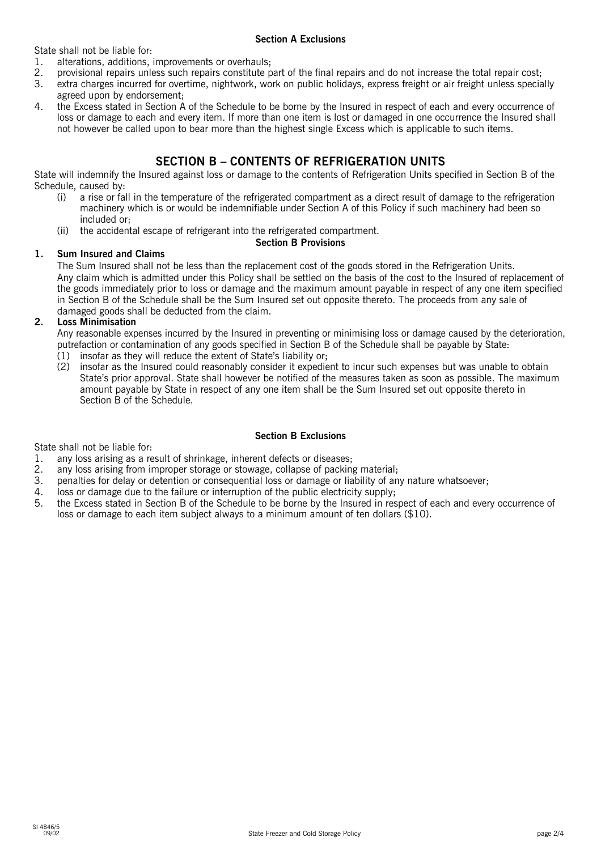State shall not be liable for:

### **Section A Exclusions**

- 1. alterations, additions, improvements or overhauls;
- 2. provisional repairs unless such repairs constitute part of the final repairs and do not increase the total repair cost;
- 3. extra charges incurred for overtime, nightwork, work on public holidays, express freight or air freight unless specially agreed upon by endorsement;
- 4. the Excess stated in Section A of the Schedule to be borne by the Insured in respect of each and every occurrence of loss or damage to each and every item. If more than one item is lost or damaged in one occurrence the Insured shall not however be called upon to bear more than the highest single Excess which is applicable to such items.

# **SECTION B – CONTENTS OF REFRIGERATION UNITS**

State will indemnify the Insured against loss or damage to the contents of Refrigeration Units specified in Section B of the Schedule, caused by:

- (i) a rise or fall in the temperature of the refrigerated compartment as a direct result of damage to the refrigeration machinery which is or would be indemnifiable under Section A of this Policy if such machinery had been so included or;
- (ii) the accidental escape of refrigerant into the refrigerated compartment.

# **Section B Provisions**

# **1. Sum Insured and Claims**

The Sum Insured shall not be less than the replacement cost of the goods stored in the Refrigeration Units. Any claim which is admitted under this Policy shall be settled on the basis of the cost to the Insured of replacement of the goods immediately prior to loss or damage and the maximum amount payable in respect of any one item specified in Section B of the Schedule shall be the Sum Insured set out opposite thereto. The proceeds from any sale of damaged goods shall be deducted from the claim.

# **2. Loss Minimisation**

Any reasonable expenses incurred by the Insured in preventing or minimising loss or damage caused by the deterioration, putrefaction or contamination of any goods specified in Section B of the Schedule shall be payable by State:

- (1) insofar as they will reduce the extent of State's liability or;
- (2) insofar as the Insured could reasonably consider it expedient to incur such expenses but was unable to obtain State's prior approval. State shall however be notified of the measures taken as soon as possible. The maximum amount payable by State in respect of any one item shall be the Sum Insured set out opposite thereto in Section B of the Schedule.

# **Section B Exclusions**

State shall not be liable for:

- 1. any loss arising as a result of shrinkage, inherent defects or diseases;<br>2. any loss arising from improper storage or stowage, collapse of packing
- any loss arising from improper storage or stowage, collapse of packing material;
- 3. penalties for delay or detention or consequential loss or damage or liability of any nature whatsoever;
- 4. loss or damage due to the failure or interruption of the public electricity supply;
- 5. the Excess stated in Section B of the Schedule to be borne by the Insured in respect of each and every occurrence of loss or damage to each item subject always to a minimum amount of ten dollars (\$10).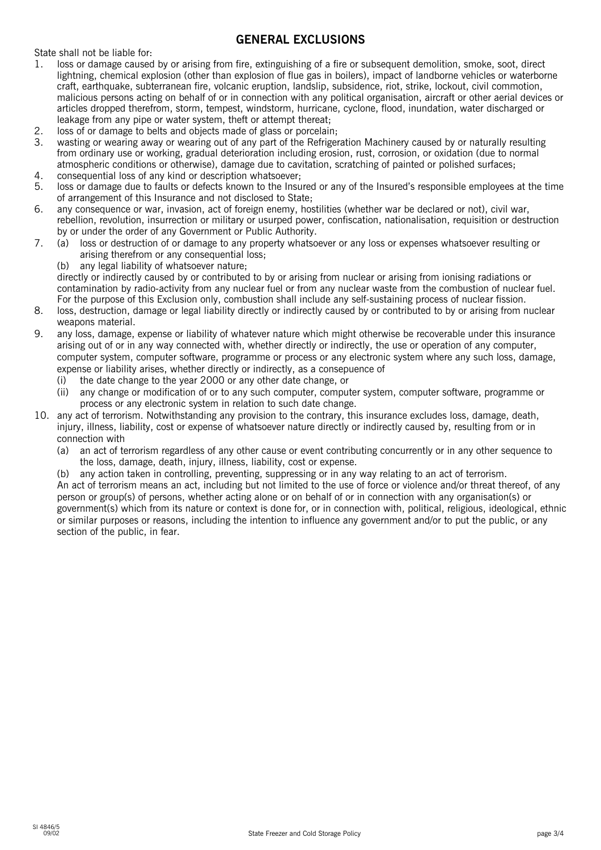# **GENERAL EXCLUSIONS**

State shall not be liable for:

- 1. loss or damage caused by or arising from fire, extinguishing of a fire or subsequent demolition, smoke, soot, direct lightning, chemical explosion (other than explosion of flue gas in boilers), impact of landborne vehicles or waterborne craft, earthquake, subterranean fire, volcanic eruption, landslip, subsidence, riot, strike, lockout, civil commotion, malicious persons acting on behalf of or in connection with any political organisation, aircraft or other aerial devices or articles dropped therefrom, storm, tempest, windstorm, hurricane, cyclone, flood, inundation, water discharged or leakage from any pipe or water system, theft or attempt thereat;
- 2. loss of or damage to belts and objects made of glass or porcelain;<br>3. wasting or wearing away or wearing out of any part of the Refrige
- 3. wasting or wearing away or wearing out of any part of the Refrigeration Machinery caused by or naturally resulting from ordinary use or working, gradual deterioration including erosion, rust, corrosion, or oxidation (due to normal atmospheric conditions or otherwise), damage due to cavitation, scratching of painted or polished surfaces;
- 4. consequential loss of any kind or description whatsoever;
- 5. loss or damage due to faults or defects known to the Insured or any of the Insured's responsible employees at the time of arrangement of this Insurance and not disclosed to State;
- 6. any consequence or war, invasion, act of foreign enemy, hostilities (whether war be declared or not), civil war, rebellion, revolution, insurrection or military or usurped power, confiscation, nationalisation, requisition or destruction by or under the order of any Government or Public Authority.
- 7. (a) loss or destruction of or damage to any property whatsoever or any loss or expenses whatsoever resulting or arising therefrom or any consequential loss;
	- (b) any legal liability of whatsoever nature;

directly or indirectly caused by or contributed to by or arising from nuclear or arising from ionising radiations or contamination by radio-activity from any nuclear fuel or from any nuclear waste from the combustion of nuclear fuel. For the purpose of this Exclusion only, combustion shall include any self-sustaining process of nuclear fission.

- 8. loss, destruction, damage or legal liability directly or indirectly caused by or contributed to by or arising from nuclear weapons material.
- 9. any loss, damage, expense or liability of whatever nature which might otherwise be recoverable under this insurance arising out of or in any way connected with, whether directly or indirectly, the use or operation of any computer, computer system, computer software, programme or process or any electronic system where any such loss, damage, expense or liability arises, whether directly or indirectly, as a consepuence of
	- (i) the date change to the year 2000 or any other date change, or
	- (ii) any change or modification of or to any such computer, computer system, computer software, programme or process or any electronic system in relation to such date change.
- 10. any act of terrorism. Notwithstanding any provision to the contrary, this insurance excludes loss, damage, death, iniury, illness, liability, cost or expense of whatsoever nature directly or indirectly caused by, resulting from or in connection with
	- (a) an act of terrorism regardless of any other cause or event contributing concurrently or in any other sequence to the loss, damage, death, injury, illness, liability, cost or expense.
	- (b) any action taken in controlling, preventing, suppressing or in any way relating to an act of terrorism. An act of terrorism means an act, including but not limited to the use of force or violence and/or threat thereof, of any person or group(s) of persons, whether acting alone or on behalf of or in connection with any organisation(s) or government(s) which from its nature or context is done for, or in connection with, political, religious, ideological, ethnic or similar purposes or reasons, including the intention to influence any government and/or to put the public, or any section of the public, in fear.